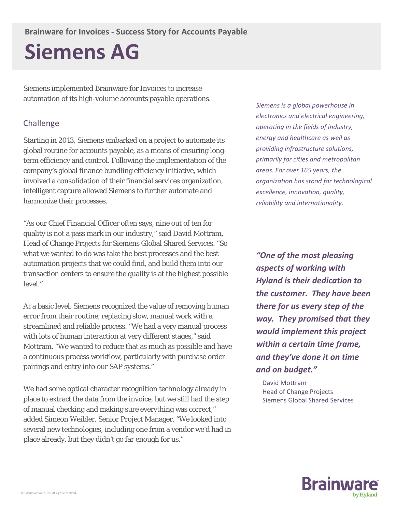# **Siemens AG**

Siemens implemented Brainware for Invoices to increase automation of its high-volume accounts payable operations.

## Challenge

Starting in 2013, Siemens embarked on a project to automate its global routine for accounts payable, as a means of ensuring longterm efficiency and control. Following the implementation of the company's global finance bundling efficiency initiative, which involved a consolidation of their financial services organization, intelligent capture allowed Siemens to further automate and harmonize their processes.

"As our Chief Financial Officer often says, nine out of ten for quality is not a pass mark in our industry," said David Mottram, Head of Change Projects for Siemens Global Shared Services. "So what we wanted to do was take the best processes and the best automation projects that we could find, and build them into our transaction centers to ensure the quality is at the highest possible level."

At a basic level, Siemens recognized the value of removing human error from their routine, replacing slow, manual work with a streamlined and reliable process. "We had a very manual process with lots of human interaction at very different stages," said Mottram. "We wanted to reduce that as much as possible and have a continuous process workflow, particularly with purchase order pairings and entry into our SAP systems."

We had some optical character recognition technology already in place to extract the data from the invoice, but we still had the step of manual checking and making sure everything was correct," added Simeon Weibler, Senior Project Manager. "We looked into several new technologies, including one from a vendor we'd had in place already, but they didn't go far enough for us."

*Siemens is a global powerhouse in electronics and electrical engineering, operating in the fields of industry, energy and healthcare as well as providing infrastructure solutions, primarily for cities and metropolitan areas. For over 165 years, the organization has stood for technological excellence, innovation, quality, reliability and internationality.*

*"One of the most pleasing aspects of working with Hyland is their dedication to the customer. They have been there for us every step of the way. They promised that they would implement this project within a certain time frame, and they've done it on time and on budget."*

 David Mottram Head of Change Projects Siemens Global Shared Services